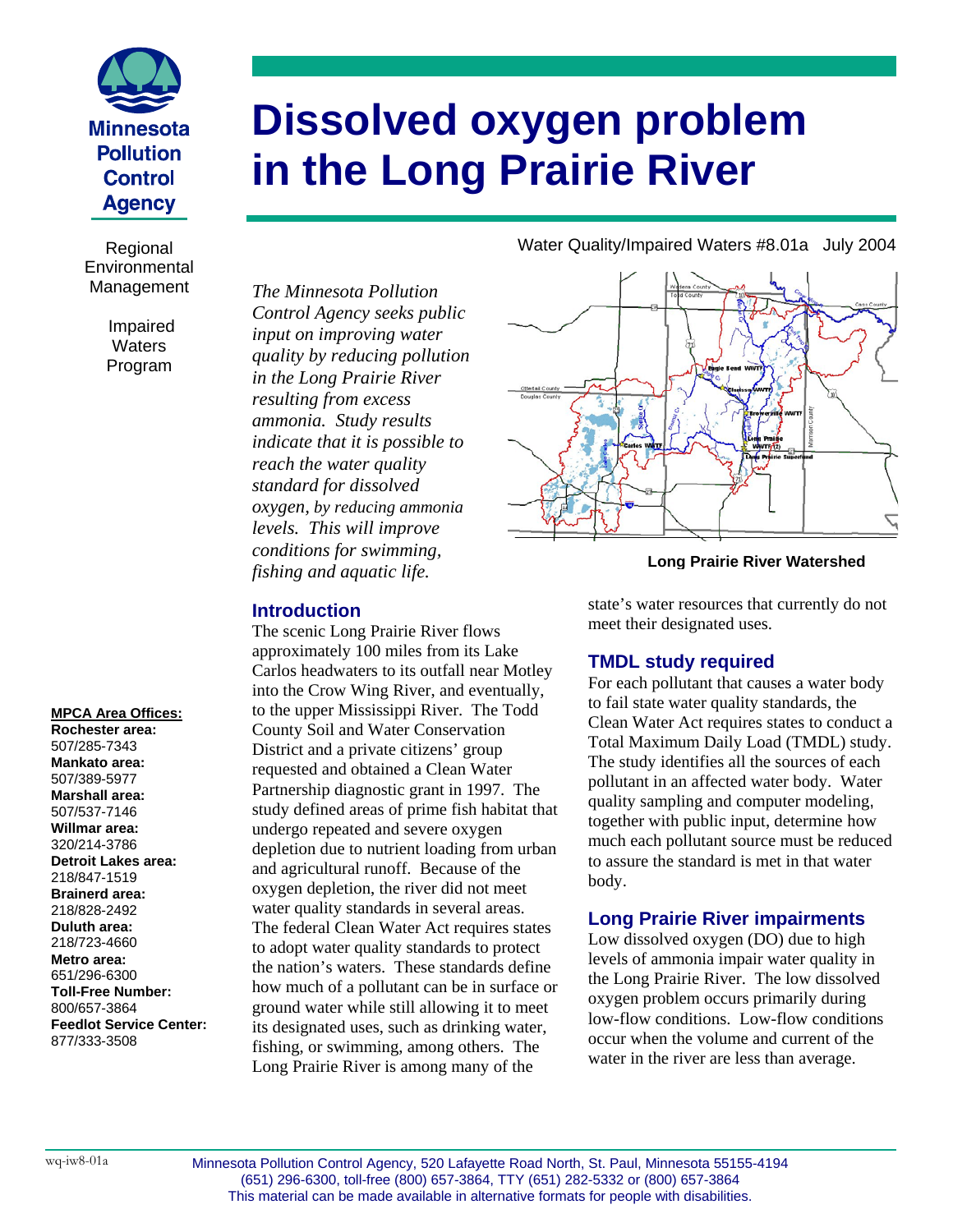

**Environmental** Management

> Impaired **Waters** Program

#### **MPCA Area Offices:**

**Rochester area:**  507/285-7343 **Mankato area:**  507/389-5977 **Marshall area:**  507/537-7146 **Willmar area:**  320/214-3786 **Detroit Lakes area:**  218/847-1519 **Brainerd area:**  218/828-2492 **Duluth area:**  218/723-4660 **Metro area:**  651/296-6300 **Toll-Free Number:**  800/657-3864 **Feedlot Service Center:**  877/333-3508

# **Dissolved oxygen problem in the Long Prairie River**

*The Minnesota Pollution Control Agency seeks public input on improving water quality by reducing pollution in the Long Prairie River resulting from excess ammonia. Study results indicate that it is possible to reach the water quality standard for dissolved oxygen, by reducing ammonia levels. This will improve conditions for swimming, fishing and aquatic life.* 

## **Introduction**

The scenic Long Prairie River flows approximately 100 miles from its Lake Carlos headwaters to its outfall near Motley into the Crow Wing River, and eventually, to the upper Mississippi River. The Todd County Soil and Water Conservation District and a private citizens' group requested and obtained a Clean Water Partnership diagnostic grant in 1997. The study defined areas of prime fish habitat that undergo repeated and severe oxygen depletion due to nutrient loading from urban and agricultural runoff. Because of the oxygen depletion, the river did not meet water quality standards in several areas. The federal Clean Water Act requires states to adopt water quality standards to protect the nation's waters. These standards define how much of a pollutant can be in surface or ground water while still allowing it to meet its designated uses, such as drinking water, fishing, or swimming, among others. The Long Prairie River is among many of the

Regional Water Quality/Impaired Waters #8.01a July 2004



#### **Long Prairie River Watershed**

state's water resources that currently do not meet their designated uses.

### **TMDL study required**

For each pollutant that causes a water body to fail state water quality standards, the Clean Water Act requires states to conduct a Total Maximum Daily Load (TMDL) study. The study identifies all the sources of each pollutant in an affected water body. Water quality sampling and computer modeling, together with public input, determine how much each pollutant source must be reduced to assure the standard is met in that water body.

#### **Long Prairie River impairments**

Low dissolved oxygen (DO) due to high levels of ammonia impair water quality in the Long Prairie River. The low dissolved oxygen problem occurs primarily during low-flow conditions. Low-flow conditions occur when the volume and current of the water in the river are less than average.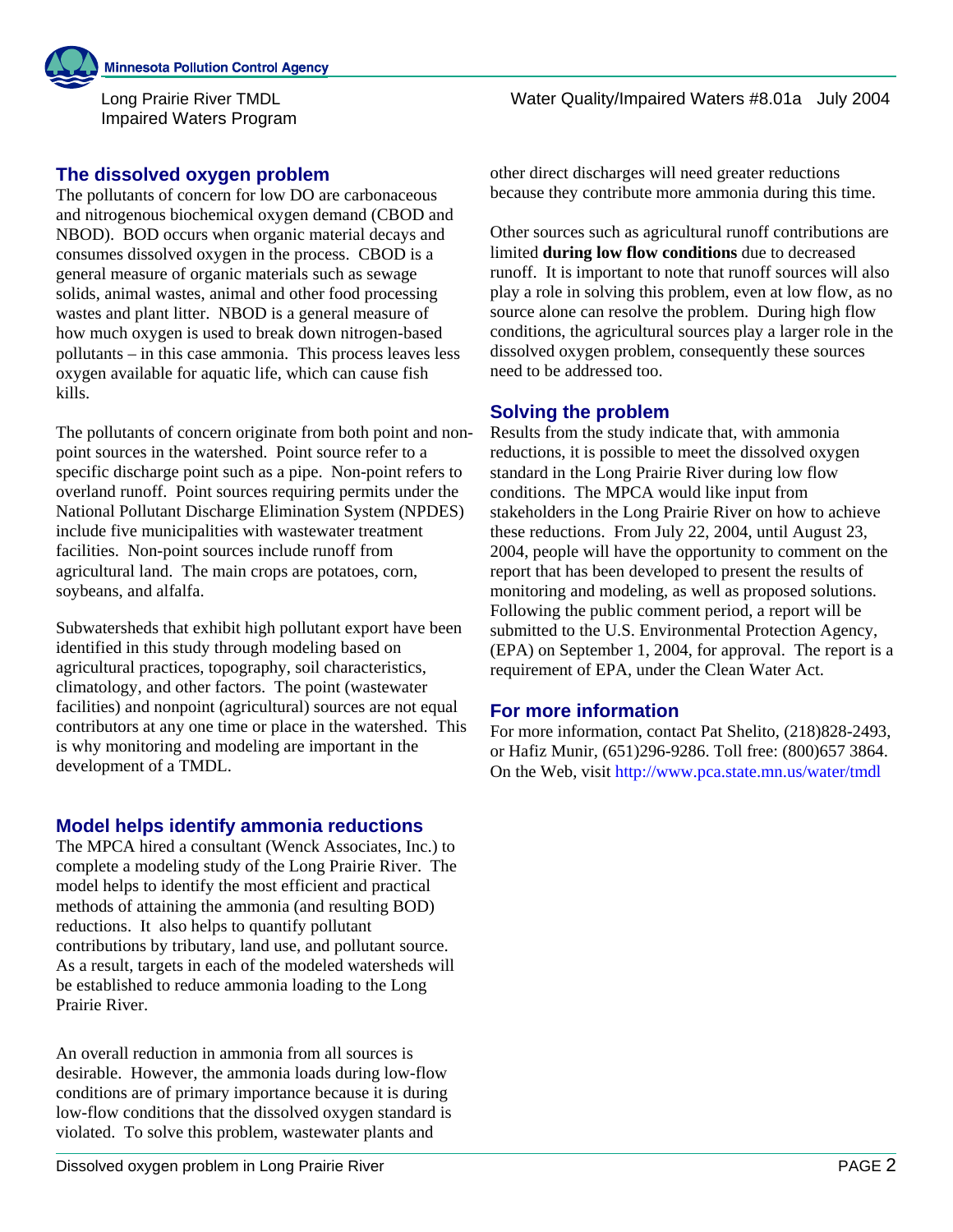Long Prairie River TMDL Impaired Waters Program

## **The dissolved oxygen problem**

The pollutants of concern for low DO are carbonaceous and nitrogenous biochemical oxygen demand (CBOD and NBOD). BOD occurs when organic material decays and consumes dissolved oxygen in the process. CBOD is a general measure of organic materials such as sewage solids, animal wastes, animal and other food processing wastes and plant litter. NBOD is a general measure of how much oxygen is used to break down nitrogen-based pollutants – in this case ammonia. This process leaves less oxygen available for aquatic life, which can cause fish kills.

The pollutants of concern originate from both point and nonpoint sources in the watershed. Point source refer to a specific discharge point such as a pipe. Non-point refers to overland runoff. Point sources requiring permits under the National Pollutant Discharge Elimination System (NPDES) include five municipalities with wastewater treatment facilities. Non-point sources include runoff from agricultural land. The main crops are potatoes, corn, soybeans, and alfalfa.

Subwatersheds that exhibit high pollutant export have been identified in this study through modeling based on agricultural practices, topography, soil characteristics, climatology, and other factors. The point (wastewater facilities) and nonpoint (agricultural) sources are not equal contributors at any one time or place in the watershed. This is why monitoring and modeling are important in the development of a TMDL.

## **Model helps identify ammonia reductions**

The MPCA hired a consultant (Wenck Associates, Inc.) to complete a modeling study of the Long Prairie River. The model helps to identify the most efficient and practical methods of attaining the ammonia (and resulting BOD) reductions. It also helps to quantify pollutant contributions by tributary, land use, and pollutant source. As a result, targets in each of the modeled watersheds will be established to reduce ammonia loading to the Long Prairie River.

An overall reduction in ammonia from all sources is desirable. However, the ammonia loads during low-flow conditions are of primary importance because it is during low-flow conditions that the dissolved oxygen standard is violated. To solve this problem, wastewater plants and

Water Quality/Impaired Waters #8.01a July 2004

other direct discharges will need greater reductions because they contribute more ammonia during this time.

Other sources such as agricultural runoff contributions are limited **during low flow conditions** due to decreased runoff. It is important to note that runoff sources will also play a role in solving this problem, even at low flow, as no source alone can resolve the problem. During high flow conditions, the agricultural sources play a larger role in the dissolved oxygen problem, consequently these sources need to be addressed too.

# **Solving the problem**

Results from the study indicate that, with ammonia reductions, it is possible to meet the dissolved oxygen standard in the Long Prairie River during low flow conditions. The MPCA would like input from stakeholders in the Long Prairie River on how to achieve these reductions. From July 22, 2004, until August 23, 2004, people will have the opportunity to comment on the report that has been developed to present the results of monitoring and modeling, as well as proposed solutions. Following the public comment period, a report will be submitted to the U.S. Environmental Protection Agency, (EPA) on September 1, 2004, for approval. The report is a requirement of EPA, under the Clean Water Act.

## **For more information**

For more information, contact Pat Shelito, (218)828-2493, or Hafiz Munir, (651)296-9286. Toll free: (800)657 3864. On the Web, visit<http://www.pca.state.mn.us/water/tmdl>